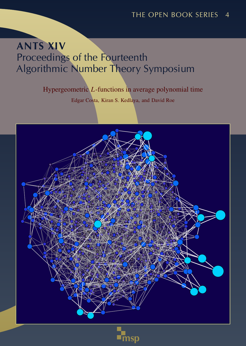# ANTS XIV Proceedings of the Fourteenth Algorithmic Number Theory Symposium

### Hypergeometric *L*-functions in average polynomial time

Edgar Costa, Kiran S. Kedlaya, and David Roe



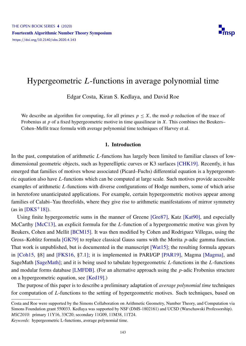

## <span id="page-1-0"></span>Hypergeometric *L*-functions in average polynomial time

Edgar Costa, Kiran S. Kedlaya, and David Roe

We describe an algorithm for computing, for all primes  $p \leq X$ , the mod-*p* reduction of the trace of Frobenius at *p* of a fixed hypergeometric motive in time quasilinear in *X*. This combines the Beukers– Cohen–Mellit trace formula with average polynomial time techniques of Harvey et al.

#### 1. Introduction

In the past, computation of arithmetic *L*-functions has largely been limited to familiar classes of lowdimensional geometric objects, such as hyperelliptic curves or K3 surfaces [\[CHK19\]](#page-16-0). Recently, it has emerged that families of motives whose associated (Picard–Fuchs) differential equation is a hypergeometric equation also have *L*-functions which can be computed at large scale. Such motives provide accessible examples of arithmetic *L*-functions with diverse configurations of Hodge numbers, some of which arise in heretofore unanticipated applications. For example, certain hypergeometric motives appear among families of Calabi–Yau threefolds, where they give rise to arithmetic manifestations of mirror symmetry (as in  $[DKS^+18]$  $[DKS^+18]$ ).

Using finite hypergeometric sums in the manner of Greene [\[Gre87\]](#page-16-2), Katz [\[Kat90\]](#page-16-3), and especially McCarthy [\[McC13\]](#page-17-0), an explicit formula for the *L*-function of a hypergeometric motive was given by Beukers, Cohen and Mellit [\[BCM15\]](#page-15-0). It was then modified by Cohen and Rodriguez Villegas, using the Gross–Koblitz formula [\[GK79\]](#page-16-4) to replace classical Gauss sums with the Morita *p*-adic gamma function. That work is unpublished, but is documented in the manuscript [\[Wat15\]](#page-17-1); the resulting formula appears in [\[Coh15,](#page-16-5) §8] and [\[FKS16,](#page-16-6) §7.1]; it is implemented in PARI/GP [\[PAR19\]](#page-17-2), Magma [\[Magma\]](#page-16-7), and SageMath [\[SageMath\]](#page-17-3); and it is being used to tabulate hypergeometric *L*-functions in the *L*-functions and modular forms database [\[LMFDB\]](#page-16-8). (For an alternative approach using the *p*-adic Frobenius structure on a hypergeometric equation, see [\[Ked19\]](#page-16-9).)

The purpose of this paper is to describe a preliminary adaptation of *average polynomial time* techniques for computation of *L*-functions to the setting of hypergeometric motives. Such techniques, based on

*Keywords*: hypergeometric L-functions, average polynomial time.

Costa and Roe were supported by the Simons Collaboration on Arithmetic Geometry, Number Theory, and Computation via Simons Foundation grant 550033. Kedlaya was supported by NSF (DMS-1802161) and UCSD (Warschawski Professorship). *MSC2010*: primary 11Y16, 33C20; secondary 11G09, 11M38, 11T24.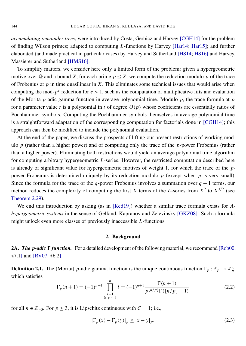*accumulating remainder trees*, were introduced by Costa, Gerbicz and Harvey [\[CGH14\]](#page-16-10) for the problem of finding Wilson primes; adapted to computing *L*-functions by Harvey [\[Har14;](#page-16-11) [Har15\]](#page-16-12); and further elaborated (and made practical in particular cases) by Harvey and Sutherland [\[HS14;](#page-16-13) [HS16\]](#page-16-14) and Harvey, Massierer and Sutherland [\[HMS16\]](#page-16-15).

To simplify matters, we consider here only a limited form of the problem: given a hypergeometric motive over  $\mathbb Q$  and a bound *X*, for each prime  $p \leq X$ , we compute the reduction modulo p of the trace of Frobenius at *p* in time quasilinear in *X*. This eliminates some technical issues that would arise when computing the mod- $p^e$  reduction for  $e > 1$ , such as the computation of multiplicative lifts and evaluation of the Morita *p*-adic gamma function in average polynomial time. Modulo *p*, the trace formula at *p* for a parameter value *t* is a polynomial in *t* of degree *O*(*p*) whose coefficients are essentially ratios of Pochhammer symbols. Computing the Pochhammer symbols themselves in average polynomial time is a straightforward adaptation of the corresponding computation for factorials done in [\[CGH14\]](#page-16-10); this approach can then be modified to include the polynomial evaluation.

At the end of the paper, we discuss the prospects of lifting our present restrictions of working modulo *p* (rather than a higher power) and of computing only the trace of the *p*-power Frobenius (rather than a higher power). Eliminating both restrictions would yield an average polynomial time algorithm for computing arbitrary hypergeometric *L*-series. However, the restricted computation described here is already of significant value for hypergeometric motives of weight 1, for which the trace of the *p*power Frobenius is determined uniquely by its reduction modulo *p* (except when *p* is very small). Since the formula for the trace of the *q*-power Frobenius involves a summation over *q* − 1 terms, our method reduces the complexity of computing the first *X* terms of the *L*-series from  $X^2$  to  $X^{3/2}$  (see [Theorem 2.29\)](#page-6-0).

We end this introduction by asking (as in [\[Ked19\]](#page-16-9)) whether a similar trace formula exists for *Ahypergeometric systems* in the sense of Gelfand, Kapranov and Zelevinsky [\[GKZ08\]](#page-16-16). Such a formula might unlock even more classes of previously inaccessible *L*-functions.

#### 2. Background

**2A.** *The p-adic*  $\Gamma$  *function.* For a detailed development of the following material, we recommend [\[Rob00,](#page-17-4) §7.1] and [\[RV07,](#page-17-5) §6.2].

**Definition 2.1.** The (Morita) *p*-adic gamma function is the unique continuous function  $\Gamma_p : \mathbb{Z}_p \to \mathbb{Z}_p^{\times}$ which satisfies

$$
\Gamma_p(n+1) = (-1)^{n+1} \prod_{\substack{i=1 \ (i,p)=1}}^n i = (-1)^{n+1} \frac{\Gamma(n+1)}{p^{\lfloor n/p \rfloor} \Gamma(\lfloor n/p \rfloor + 1)}
$$
(2.2)

for all  $n \in \mathbb{Z}_{\geq 0}$ . For  $p \geq 3$ , it is Lipschitz continuous with  $C = 1$ ; i.e.,

<span id="page-2-0"></span>
$$
|\Gamma_p(x) - \Gamma_p(y)|_p \le |x - y|_p. \tag{2.3}
$$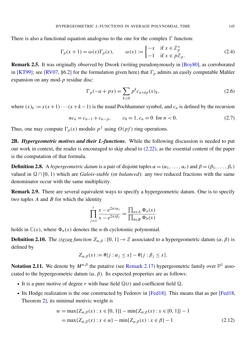There is also a functional equation analogous to the one for the complex  $\Gamma$  function:

$$
\Gamma_p(x+1) = \omega(x)\Gamma_p(x), \qquad \omega(x) := \begin{cases} -x & \text{if } x \in \mathbb{Z}_p^{\times} \\ -1 & \text{if } x \in p\mathbb{Z}_p. \end{cases}
$$
 (2.4)

Remark 2.5. It was originally observed by Dwork (writing pseudonymously in [\[Boy80\]](#page-16-17), as corroborated in [\[KT99\]](#page-16-18); see [\[RV07,](#page-17-5) §6.2] for the formulation given here) that  $\Gamma_p$  admits an easily computable Mahler expansion on any mod-*p* residue disc:

<span id="page-3-2"></span>
$$
\Gamma_p(-a+px) = \sum_{k\geq 0} p^k c_{a+kp}(x)_k,
$$
\n(2.6)

where  $(x)_k := x(x+1)\cdots(x+k-1)$  is the usual Pochhammer symbol, and  $c_n$  is defined by the recursion

$$
nc_n = c_{n-1} + c_{n-p}, \qquad c_0 = 1, c_n = 0 \text{ for } n < 0. \tag{2.7}
$$

Thus, one may compute  $\Gamma_p(x)$  modulo  $p^f$  using  $O(pf)$  ring operations.

2B. *Hypergeometric motives and their L-functions.* While the following discussion is needed to put our work in context, the reader is encouraged to skip ahead to [\(2.22\),](#page-5-0) as the essential content of the paper is the computation of that formula.

**Definition 2.8.** A *hypergeometric datum* is a pair of disjoint tuples  $\alpha = (\alpha_1, \dots, \alpha_r)$  and  $\beta = (\beta_1, \dots, \beta_r)$ valued in Q ∩ [0, 1) which are *Galois-stable* (or *balanced*): any two reduced fractions with the same denominator occur with the same multiplicity.

<span id="page-3-1"></span>Remark 2.9. There are several equivalent ways to specify a hypergeometric datum. One is to specify two tuples *A* and *B* for which the identity

$$
\prod_{j=1}^r \frac{x - e^{2\pi i \alpha_j}}{x - e^{2\pi i \beta_j}} = \frac{\prod_{a \in A} \Phi_a(x)}{\prod_{b \in B} \Phi_b(x)}
$$

holds in  $\mathbb{C}(x)$ , where  $\Phi_n(x)$  denotes the *n*-th cyclotomic polynomial.

**Definition 2.10.** The *zigzag function*  $Z_{\alpha,\beta}$  : [0, 1]  $\rightarrow \mathbb{Z}$  associated to a hypergeometric datum  $(\alpha, \beta)$  is defined by

<span id="page-3-3"></span>
$$
Z_{\alpha,\beta}(x) := #\{j : \alpha_j \le x\} - #\{j : \beta_j \le x\}.
$$

<span id="page-3-0"></span>Notation 2.11. We denote by  $M^{\alpha,\beta}$  the putative (see [Remark 2.17\)](#page-4-0) hypergeometric family over  $\mathbb{P}^1$  associated to the hypergeometric datum  $(\alpha, \beta)$ . Its expected properties are as follows:

- It is a pure motive of degree r with base field  $\mathbb{Q}(t)$  and coefficient field  $\mathbb{Q}$ .
- Its Hodge realization is the one constructed by Fedorov in [\[Fed18\]](#page-16-19). This means that as per [\[Fed18,](#page-16-19) Theorem 2], its minimal motivic weight is

$$
w = \max\{Z_{\alpha,\beta}(x) : x \in [0,1]\} - \min\{Z_{\alpha,\beta}(x) : x \in [0,1]\} - 1
$$
  
= 
$$
\max\{Z_{\alpha,\beta}(x) : x \in \alpha\} - \min\{Z_{\alpha,\beta}(x) : x \in \beta\} - 1
$$
 (2.12)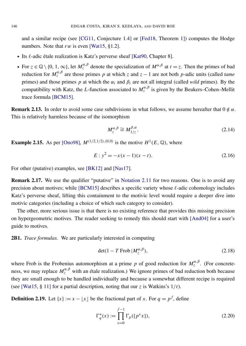and a similar recipe (see [\[CG11,](#page-16-20) Conjecture 1.4] or [\[Fed18,](#page-16-19) Theorem 1]) computes the Hodge numbers. Note that *rw* is even [\[Wat15,](#page-17-1) §1.2].

- Its  $\ell$ -adic étale realization is Katz's perverse sheaf [\[Kat90,](#page-16-3) Chapter 8].
- For  $z \in \mathbb{Q} \setminus \{0, 1, \infty\}$ , let  $M_z^{\alpha, \beta}$  denote the specialization of  $M^{\alpha, \beta}$  at  $t = z$ . Then the primes of bad reduction for  $M_z^{\alpha,\beta}$  are those primes *p* at which *z* and  $z - 1$  are not both *p*-adic units (called *tame* primes) and those primes *p* at which the  $\alpha_i$  and  $\beta_i$  are not all integral (called *wild* primes). By the compatibility with Katz, the *L*-function associated to  $M_z^{\alpha,\beta}$  is given by the Beukers–Cohen–Mellit trace formula [\[BCM15\]](#page-15-0).

**Remark 2.13.** In order to avoid some case subdivisions in what follows, we assume hereafter that  $0 \notin \alpha$ . This is relatively harmless because of the isomorphism

$$
M_{z}^{\alpha,\beta} \cong M_{1/z}^{\beta,\alpha}.
$$
 (2.14)

**Example 2.15.** As per [\[Ono98\]](#page-17-6),  $M^{(1/2,1/2),(0,0)}$  is the motive  $H^{1}(E, \mathbb{Q})$ , where

$$
E: y^2 = -x(x-1)(x-t).
$$
 (2.16)

For other (putative) examples, see [\[BK12\]](#page-16-21) and [\[Nas17\]](#page-17-7).

<span id="page-4-0"></span>Remark 2.17. We use the qualifier "putative" in [Notation 2.11](#page-3-0) for two reasons. One is to avoid any precision about motives; while  $[BCM15]$  describes a specific variety whose  $\ell$ -adic cohomology includes Katz's perverse sheaf, lifting this containment to the motivic level would require a deeper dive into motivic categories (including a choice of which such category to consider).

The other, more serious issue is that there is no existing reference that provides this missing precision on hypergeometric motives. The reader seeking to remedy this should start with [\[And04\]](#page-15-1) for a user's guide to motives.

2B1. *Trace formulas.* We are particularly interested in computing

$$
\det(1 - T \operatorname{Frob} |M_{z}^{\alpha,\beta}),\tag{2.18}
$$

where Frob is the Frobenius automorphism at a prime *p* of good reduction for  $M_z^{\alpha,\beta}$ . (For concreteness, we may replace  $M_z^{\alpha,\beta}$  with an étale realization.) We ignore primes of bad reduction both because they are small enough to be handled individually and because a somewhat different recipe is required (see [\[Wat15,](#page-17-1) § 11] for a partial description, noting that our *z* is Watkins's 1/*t*).

**Definition 2.19.** Let  $\{x\} := x - \lfloor x \rfloor$  be the fractional part of *x*. For  $q = p^f$ , define

$$
\Gamma_q^*(x) := \prod_{v=0}^{f-1} \Gamma_p(\{p^v x\}),\tag{2.20}
$$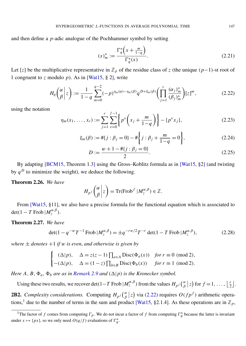and then define a *p*-adic analogue of the Pochhammer symbol by setting

<span id="page-5-4"></span><span id="page-5-0"></span>
$$
(x)_m^* := \frac{\Gamma_q^* \left( x + \frac{m}{1 - q} \right)}{\Gamma_q^*(x)}.
$$
\n(2.21)

Let [*z*] be the multiplicative representative in  $\mathbb{Z}_p$  of the residue class of *z* (the unique (*p*−1)-st root of 1 congruent to *z* modulo *p*). As in [\[Wat15,](#page-17-1) § 2], write

$$
H_q\left(\begin{matrix} \alpha \\ \beta \end{matrix} \bigg| z\right) := \frac{1}{1-q} \sum_{m=0}^{q-2} (-p)^{\eta_m(\alpha)-\eta_m(\beta)} q^{D+\xi_m(\beta)} \left( \prod_{j=1}^r \frac{(\alpha_j)_m^*}{(\beta_j)_m^*} \right) [z]^m, \tag{2.22}
$$

using the notation

$$
\eta_m(x_1, \dots, x_r) := \sum_{j=1}^r \sum_{v=0}^{f-1} \left\{ p^v \left( x_j + \frac{m}{1-q} \right) \right\} - \{ p^v x_j \},\tag{2.23}
$$

$$
\xi_m(\beta) := #\{j : \beta_j = 0\} - # \left\{j : \beta_j + \frac{m}{1 - q} = 0\right\},\tag{2.24}
$$

<span id="page-5-3"></span>
$$
D := \frac{w + 1 - \# \{ j : \beta_j = 0 \}}{2}.
$$
\n(2.25)

By adapting [\[BCM15,](#page-15-0) Theorem 1.3] using the Gross–Koblitz formula as in [\[Wat15,](#page-17-1) §2] (and twisting by  $q^D$  to minimize the weight), we deduce the following.

#### <span id="page-5-2"></span>Theorem 2.26. *We have*

$$
H_{p^f}\left(\begin{matrix} \alpha \\ \beta \end{matrix}\bigg|z\right) = \mathrm{Tr}(\mathrm{Frob}^f \, |M_z^{\alpha,\beta}) \in \mathbb{Z}.
$$

From [\[Wat15,](#page-17-1) §11], we also have a precise formula for the functional equation which is associated to  $\det(1 - T \operatorname{Frob} | M_{z}^{\alpha,\beta}).$ 

### Theorem 2.27. *We have*

$$
\det(1 - q^{-w}T^{-1} \operatorname{Frob} |M_z^{\alpha,\beta}) = \pm q^{-rw/2}T^{-r} \det(1 - T \operatorname{Frob} |M_z^{\alpha,\beta}), \tag{2.28}
$$

*where*  $\pm$  *denotes*  $+1$  *if w is even, and otherwise is given by* 

$$
\begin{cases} (\Delta|p), & \Delta = z(z-1) \prod_{a \in A} \text{Disc}(\Phi_a(x)) & \text{for } r \equiv 0 \pmod{2}, \\ -(\Delta|p), & \Delta = (1-z) \prod_{b \in B} \text{Disc}(\Phi_b(x)) & \text{for } r \equiv 1 \pmod{2}. \end{cases}
$$

*Here A, B,*  $\Phi_a$ ,  $\Phi_b$  *are as in [Remark 2.9](#page-3-1) and*  $(\Delta|p)$  *is the Kronecker symbol.* 

Using these two results, we recover det(1–*T* Frob  $|M_z^{\alpha,\beta}$ ) from the values  $H_{p}$  ( $\frac{\alpha}{\beta}$ )  $\binom{\alpha}{\beta}$  | z) for  $f = 1, \ldots, \lfloor \frac{r}{2} \rfloor$  $\frac{r}{2}$ .

**2B2.** *Complexity considerations.* Computing  $H_{p^f}(\frac{\alpha}{\beta})$  $\alpha_{\beta}$  |z) via [\(2.22\)](#page-5-0) requires  $O(f p^f)$  arithmetic opera-tions,<sup>[1](#page-5-1)</sup> due to the number of terms in the sum and product [\[Wat15,](#page-17-1) §2.1.4]. As these operations are in  $\mathbb{Z}_p$ ,

<span id="page-5-1"></span><sup>&</sup>lt;sup>1</sup>The factor of *f* comes from computing  $\Gamma_p$ . We do not incur a factor of *f* from computing  $\Gamma_q^*$  because the latter is invariant under  $x \mapsto \{px\}$ , so we only need  $O(q/f)$  evaluations of  $\Gamma_q^*$ .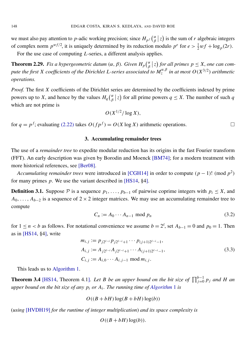we must also pay attention to *p*-adic working precision; since  $H_{p}$ <sup>*f*</sup> $\binom{\alpha}{\beta}$  $\int_{\beta}^{\alpha} |z|$  is the sum of *r* algebraic integers of complex norm  $p^{wf/2}$ , it is uniquely determined by its reduction modulo  $p^e$  for  $e > \frac{1}{2}wf + \log_p(2r)$ . For the use case of computing *L*-series, a different analysis applies.

<span id="page-6-0"></span>**Theorem 2.29.** *Fix a hypergeometric datum* ( $\alpha$ ,  $\beta$ ). *Given*  $H_p$ ( $\frac{\alpha}{\beta}$  $\frac{\alpha}{\beta}$  |z) for all primes  $p \leq X$ , one can com*pute the first X coefficients of the Dirichlet L-series associated to*  $M_{z}^{\alpha,\beta}$  *in at most*  $O(X^{3/2})$  *arithmetic operations.*

*Proof.* The first *X* coefficients of the Dirichlet series are determined by the coefficients indexed by prime powers up to *X*, and hence by the values  $H_q$  ( $\frac{\alpha}{\beta}$  $\frac{\alpha}{\beta}$  | z) for all prime powers *q*  $\leq$  *X*. The number of such *q* which are not prime is

$$
O(X^{1/2}/\log X),
$$

<span id="page-6-2"></span>for  $q = p^f$ ; evaluating [\(2.22\)](#page-5-0) takes  $O(f p^f) = O(X \log X)$  arithmetic operations.

#### 3. Accumulating remainder trees

The use of a *remainder tree* to expedite modular reduction has its origins in the fast Fourier transform (FFT). An early description was given by Borodin and Moenck [\[BM74\]](#page-16-22); for a modern treatment with more historical references, see [\[Ber08\]](#page-15-2).

*Accumulating remainder trees* were introduced in [\[CGH14\]](#page-16-10) in order to compute  $(p-1)! \pmod{p^2}$ for many primes *p*. We use the variant described in [\[HS14,](#page-16-13) §4].

<span id="page-6-1"></span>**Definition 3.1.** Suppose  $\mathcal{P}$  is a sequence  $p_1, \ldots, p_{b-1}$  of pairwise coprime integers with  $p_i \leq X$ , and  $A_0, \ldots, A_{b-2}$  is a sequence of 2 × 2 integer matrices. We may use an accumulating remainder tree to compute

$$
C_n := A_0 \cdots A_{n-1} \text{ mod } p_n \tag{3.2}
$$

for  $1 \le n < b$  as follows. For notational convenience we assume  $b = 2^{\ell}$ , set  $A_{b-1} = 0$  and  $p_0 = 1$ . Then as in  $[HS14, §4]$  $[HS14, §4]$ , write

$$
m_{i,j} := p_{j2^{\ell-i}} p_{j2^{\ell-i}+1} \cdots p_{(j+1)2^{\ell-i}-1},
$$
  
\n
$$
A_{i,j} := A_{j2^{\ell-i}} A_{j2^{\ell-i}+1} \cdots A_{(j+1)2^{\ell-i}-1},
$$
  
\n
$$
C_{i,j} := A_{i,0} \cdots A_{i,j-1} \mod m_{i,j}.
$$
  
\n(3.3)

This leads us to [Algorithm 1.](#page-7-0)

<span id="page-6-3"></span>**Theorem 3.4** [\[HS14,](#page-16-13) Theorem 4.1]. Let *B* be an upper bound on the bit size of  $\prod_{j=0}^{b-1} p_j$  and *H* an *upper bound on the bit size of any p<sup>i</sup> or A<sup>i</sup> . The running time of [Algorithm](#page-7-0)* 1 *is*

$$
O((B+bH)\log(B+bH)\log(b))
$$

(*using* [\[HVDH19\]](#page-16-23) *for the runtime of integer multiplication*) *and its space complexity is*

 $O((B + bH) \log(b)).$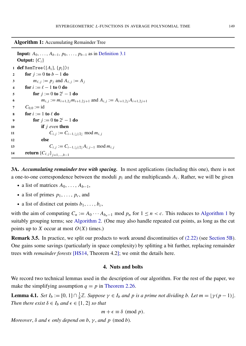Algorithm 1: Accumulating Remainder Tree

```
Input: A_0, \ldots, A_{b-1}, p_0, \ldots, p_{b-1}Definition 3.1
   Output: \{C_i\}1 def RemTree({Ai}, {pi}):
2 for j := 0 to b - 1 do
 3 m_{\ell,j} := p_j \text{ and } A_{\ell,j} := A_j4 for i := \ell - 1 to 0 do
 5 for j := 0 to 2^{i} - 1 do
 6 m<sub>i</sub>, j := m_{i+1,2} m_{i+1,2j+1} and A_{i,j} := A_{i+1,2j} A_{i+1,2j+1}7 C_{0,0} := id8 for i := 1 to \ell do
 9 for j := 0 to 2^{i} - 1 do
10 if j even then
11 C_{i,j} := C_{i-1,\lfloor j/2 \rfloor} \mod m_{i,j}12 else
13 C_{i,j} := C_{i-1,\lfloor j/2 \rfloor} A_{i,j-1} \mod m_{i,j}14 return {C_{\ell,j}}_{j=1,...,b-1}
```
<span id="page-7-1"></span>3A. *Accumulating remainder tree with spacing.* In most applications (including this one), there is not a one-to-one correspondence between the moduli  $p_i$  and the multiplicands  $A_i$ . Rather, we will be given

- a list of matrices  $A_0, \ldots, A_{b-1}$ ,
- a list of primes  $p_1, \ldots, p_c$ , and
- a list of distinct cut points  $b_1, \ldots, b_c$ ,

with the aim of computing  $C_n := A_0 \cdots A_{b_n-1}$  mod  $p_n$  for  $1 \leq n < c$ . This reduces to [Algorithm 1](#page-7-0) by suitably grouping terms; see [Algorithm 2.](#page-8-0) (One may also handle repeated cut points, as long as the cut points up to *X* occur at most  $O(X)$  times.)

<span id="page-7-3"></span>Remark 3.5. In practice, we split our products to work around discontinuities of [\(2.22\)](#page-5-0) (see [Section 5B\)](#page-10-0). One gains some savings (particularly in space complexity) by splitting a bit further, replacing remainder trees with *remainder forests* [\[HS14,](#page-16-13) Theorem 4.2]; we omit the details here.

#### 4. Nuts and bolts

We record two technical lemmas used in the description of our algorithm. For the rest of the paper, we make the simplifying assumption  $q = p$  in [Theorem 2.26.](#page-5-2)

<span id="page-7-2"></span>**Lemma 4.1.** *Set*  $I_b := [0, 1] \cap \frac{1}{b} \mathbb{Z}$ *. Suppose*  $\gamma \in I_b$  *and*  $p$  *is a prime not dividing b. Let*  $m = [\gamma(p-1)]$ *. Then there exist*  $\delta \in I_b$  *and*  $\epsilon \in \{1, 2\}$  *so that* 

$$
m + \epsilon \equiv \delta \pmod{p}.
$$

*Moreover*,  $\delta$  *and*  $\epsilon$  *only depend on*  $b$ ,  $\gamma$ *, and*  $p$  (mod  $b$ )*.*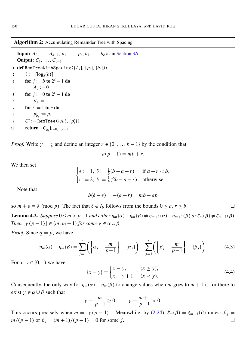#### Algorithm 2: Accumulating Remainder Tree with Spacing

<span id="page-8-0"></span>**Input:**  $A_0, \ldots, A_{b-1}, p_1, \ldots, p_c, b_1, \ldots, b_c$  as in [Section 3A](#page-7-1) **Output:**  $C_1, \ldots, C_{c-1}$ 1 **def** RemTreeWithSpacing( $\{A_i\}$ ,  $\{p_i\}$ ,  $\{b_i\}$ ): 2  $\ell := \lceil \log_2(b) \rceil$ 3 for  $j := b$  to  $2^{\ell} - 1$  do 4  $A_j := 0$ 5 **for**  $j := 0$  to  $2^{\ell} - 1$  do 6  $p'_j := 1$ 7 for  $i := 1$  to  $c$  do 8  $p'_{b_i} := p_i$ 9  $C'_{i} := \text{RemTree}(\{A_{i}\}, \{p'_{i}\})$ 10 **return**  $\{C'_{b_i}\}_{i=0,...,c-1}$ 

*Proof.* Write  $\gamma = \frac{a}{b}$  $\frac{a}{b}$  and define an integer  $r \in \{0, \ldots, b-1\}$  by the condition that

$$
a(p-1) = mb + r.
$$

We then set

$$
\begin{cases} \epsilon := 1, & \delta := \frac{1}{b}(b - a - r) & \text{if } a + r < b, \\ \epsilon := 2, & \delta := \frac{1}{b}(2b - a - r) & \text{otherwise.} \end{cases}
$$

Note that

$$
b(\delta - \epsilon) = -(a+r) = mb - ap
$$

so  $m + \epsilon \equiv \delta \pmod{p}$ . The fact that  $\delta \in I_b$  follows from the bounds  $0 \le a, r \le b$ .

<span id="page-8-2"></span>**Lemma 4.2.** *Suppose*  $0 \le m < p-1$  *and either*  $\eta_m(\alpha) - \eta_m(\beta) \ne \eta_{m+1}(\alpha) - \eta_{m+1}(\beta)$  *or*  $\xi_m(\beta) \ne \xi_{m+1}(\beta)$ *. Then*  $\lfloor \gamma (p-1) \rfloor \in \{m, m+1\}$  *for some*  $\gamma \in \alpha \cup \beta$ *.* 

*Proof.* Since  $q = p$ , we have

$$
\eta_m(\alpha) - \eta_m(\beta) = \sum_{j=1}^r \left( \left\{ \alpha_j - \frac{m}{p-1} \right\} - \left\{ \alpha_j \right\} \right) - \sum_{j=1}^r \left( \left\{ \beta_j - \frac{m}{p-1} \right\} - \left\{ \beta_j \right\} \right). \tag{4.3}
$$

For  $x, y \in [0, 1)$  we have

<span id="page-8-1"></span>
$$
\{x - y\} = \begin{cases} x - y, & (x \ge y), \\ x - y + 1, & (x < y). \end{cases} \tag{4.4}
$$

Consequently, the only way for  $\eta_m(\alpha) - \eta_m(\beta)$  to change values when *m* goes to  $m + 1$  is for there to exist  $\gamma \in \alpha \cup \beta$  such that

$$
\gamma - \frac{m}{p-1} \ge 0, \qquad \gamma - \frac{m+1}{p-1} < 0.
$$

This occurs precisely when  $m = \lfloor \gamma (p - 1) \rfloor$ . Meanwhile, by [\(2.24\),](#page-5-3)  $\xi_m(\beta) = \xi_{m+1}(\beta)$  unless  $\beta_j = \zeta_{m+1}(\beta)$ *m*/(*p* − 1) or  $\beta_j = (m+1)/(p-1) = 0$  for some *j*.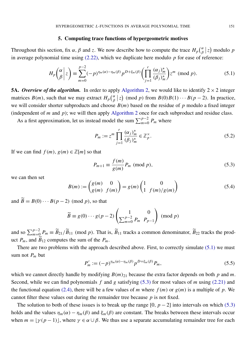#### 5. Computing trace functions of hypergeometric motives

Throughout this section, fix  $\alpha$ ,  $\beta$  and  $\alpha$ . We now describe how to compute the trace  $H_p\binom{\alpha}{\beta}$  $\int_{\beta}^{\alpha} |z| \text{ modulo } p$ in average polynomial time using [\(2.22\),](#page-5-0) which we duplicate here modulo *p* for ease of reference:

$$
H_p\left(\begin{matrix} \alpha \\ \beta \end{matrix} \bigg| z\right) \equiv \sum_{m=0}^{p-2} (-p)^{\eta_m(\alpha)-\eta_m(\beta)} p^{D+\xi_m(\beta)} \left(\prod_{j=1}^r \frac{(\alpha_j)_{m}^*}{(\beta_j)_{m}^*}\right) z^m \pmod{p}.
$$
 (5.1)

**5A.** *Overview of the algorithm*. In order to apply [Algorithm 2,](#page-8-0) we would like to identify  $2 \times 2$  integer matrices  $B(m)$ , such that we may extract  $H_p\left(\frac{\alpha}{\beta}\right)$  $\binom{\alpha}{\beta}$  (*z*) (mod *p*) from *B*(0)*B*(1) · · · *B*(*p* − 2). In practice, we will consider shorter subproducts and choose *B*(*m*) based on the residue of *p* modulo a fixed integer (independent of *m* and *p*); we will then apply [Algorithm 2](#page-8-0) once for each subproduct and residue class.

As a first approximation, let us instead model the sum  $\sum_{m=0}^{p-2} P_m$  where

<span id="page-9-2"></span><span id="page-9-0"></span>
$$
P_m := z^m \prod_{j=1}^r \frac{(\alpha_j)_{m}^*}{(\beta_j)_{m}^*} \in \mathbb{Z}_p^{\times}.
$$
\n
$$
(5.2)
$$

If we can find  $f(m), g(m) \in \mathbb{Z}[m]$  so that

<span id="page-9-1"></span>
$$
P_{m+1} \equiv \frac{f(m)}{g(m)} P_m \pmod{p},\tag{5.3}
$$

we can then set

$$
B(m) := \begin{pmatrix} g(m) & 0 \\ g(m) & f(m) \end{pmatrix} = g(m) \begin{pmatrix} 1 & 0 \\ 1 & f(m)/g(m) \end{pmatrix}
$$
(5.4)

and  $\widetilde{B} = B(0) \cdots B(p-2)$  (mod *p*), so that

$$
\widetilde{B} \equiv g(0) \cdots g(p-2) \begin{pmatrix} 1 & 0 \\ \sum_{m=0}^{p-2} P_m & P_{p-1} \end{pmatrix} \pmod{p}
$$

and so  $\sum_{m=0}^{p-2} P_m \equiv \widetilde{B}_{21}/\widetilde{B}_{11}$  (mod *p*). That is,  $\widetilde{B}_{11}$  tracks a common denominator,  $\widetilde{B}_{22}$  tracks the product  $P_m$ , and  $\widetilde{B}_{12}$  computes the sum of the  $P_m$ .

<span id="page-9-3"></span>There are two problems with the approach described above. First, to correctly simulate [\(5.1\)](#page-9-0) we must sum not *P<sup>m</sup>* but

$$
P'_{m} := (-p)^{\eta_{m}(\alpha) - \eta_{m}(\beta)} p^{D + \xi_{m}(\beta)} P_{m}, \qquad (5.5)
$$

which we cannot directly handle by modifying  $B(m)_{21}$  because the extra factor depends on both *p* and *m*. Second, while we can find polynomials *f* and *g* satisfying [\(5.3\)](#page-9-1) for most values of *m* using [\(2.21\)](#page-5-4) and the functional equation [\(2.4\),](#page-3-2) there will be a few values of *m* where  $f(m)$  or  $g(m)$  is a multiple of *p*. We cannot filter these values out during the remainder tree because *p* is not fixed.

The solution to both of these issues is to break up the range  $[0, p - 2]$  into intervals on which [\(5.3\)](#page-9-1) holds and the values  $\eta_m(\alpha) - \eta_m(\beta)$  and  $\xi_m(\beta)$  are constant. The breaks between these intervals occur when  $m = \lfloor \gamma (p - 1) \rfloor$ , where  $\gamma \in \alpha \cup \beta$ . We thus use a separate accumulating remainder tree for each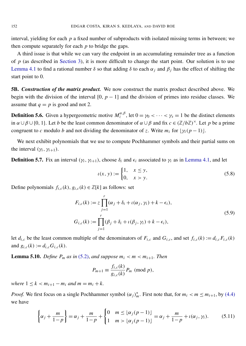interval, yielding for each *p* a fixed number of subproducts with isolated missing terms in between; we then compute separately for each *p* to bridge the gaps.

A third issue is that while we can vary the endpoint in an accumulating remainder tree as a function of *p* (as described in [Section 3\)](#page-6-2), it is more difficult to change the start point. Our solution is to use [Lemma 4.1](#page-7-2) to find a rational number δ so that adding δ to each  $\alpha_j$  and  $\beta_j$  has the effect of shifting the start point to 0.

<span id="page-10-0"></span>5B. *Construction of the matrix product.* We now construct the matrix product described above. We begin with the division of the interval  $[0, p - 1]$  and the division of primes into residue classes. We assume that  $q = p$  is good and not 2.

**Definition 5.6.** Given a hypergeometric motive  $M_z^{\alpha,\beta}$ , let  $0 = \gamma_0 < \cdots < \gamma_s = 1$  be the distinct elements in  $\alpha \cup \beta \cup \{0, 1\}$ . Let *b* be the least common denominator of  $\alpha \cup \beta$  and fix  $c \in (\mathbb{Z}/b\mathbb{Z})^{\times}$ . Let *p* be a prime congruent to *c* modulo *b* and not dividing the denominator of *z*. Write  $m_i$  for  $\left[\gamma_i(p-1)\right]$ .

We next exhibit polynomials that we use to compute Pochhammer symbols and their partial sums on the interval  $(\gamma_i, \gamma_{i+1})$ .

**Definition 5.7.** Fix an interval  $(\gamma_i, \gamma_{i+1})$ , choose  $\delta_i$  and  $\epsilon_i$  associated to  $\gamma_i$  as in [Lemma 4.1,](#page-7-2) and let

<span id="page-10-2"></span>
$$
u(x, y) := \begin{cases} 1, & x \le y, \\ 0, & x > y. \end{cases}
$$
 (5.8)

Define polynomials  $f_{i,c}(k)$ ,  $g_{i,c}(k) \in \mathbb{Z}[k]$  as follows: set

$$
F_{i,c}(k) := z \prod_{j=1}^r (\alpha_j + \delta_i + \iota(\alpha_j, \gamma_i) + k - \epsilon_i),
$$
  
\n
$$
G_{i,c}(k) := \prod_{j=1}^r (\beta_j + \delta_i + \iota(\beta_j, \gamma_i) + k - \epsilon_i),
$$
\n(5.9)

let  $d_{i,c}$  be the least common multiple of the denominators of  $F_{i,c}$  and  $G_{i,c}$ , and set  $f_{i,c}(k) := d_{i,c} F_{i,c}(k)$ and  $g_{i,c}(k) := d_{i,c} G_{i,c}(k)$ .

<span id="page-10-3"></span>**Lemma 5.10.** *Define P<sub>m</sub> as in* [\(5.2\),](#page-9-2) *and suppose*  $m_i < m < m_{i+1}$ . *Then* 

$$
P_{m+1} \equiv \frac{f_{i,c}(k)}{g_{i,c}(k)} P_m \pmod{p},
$$

*where*  $1 \leq k < m_{i+1} - m_i$  *and*  $m = m_i + k$ .

*Proof.* We first focus on a single Pochhammer symbol  $(\alpha_j)_{m}^*$ . First note that, for  $m_i < m \le m_{i+1}$ , by [\(4.4\)](#page-8-1) we have

<span id="page-10-1"></span>
$$
\left\{\alpha_j + \frac{m}{1-p}\right\} = \alpha_j + \frac{m}{1-p} + \begin{cases} 0 & m \leq \lfloor \alpha_j(p-1) \rfloor \\ 1 & m > \lfloor \alpha_j(p-1) \rfloor \end{cases} = \alpha_j + \frac{m}{1-p} + \iota(\alpha_j, \gamma_i). \tag{5.11}
$$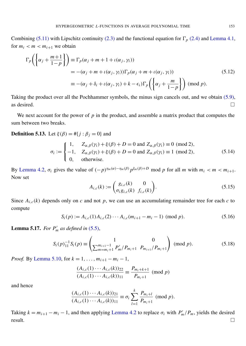Combining [\(5.11\)](#page-10-1) with Lipschitz continuity [\(2.3\)](#page-2-0) and the functional equation for  $\Gamma_p$  [\(2.4\)](#page-3-2) and [Lemma 4.1,](#page-7-2) for  $m_i < m < m_{i+1}$  we obtain

<span id="page-11-3"></span>
$$
\Gamma_p\left(\left\{\alpha_j + \frac{m+1}{1-p}\right\}\right) \equiv \Gamma_p(\alpha_j + m + 1 + \iota(\alpha_j, \gamma_i))
$$
  
= -(\alpha\_j + m + \iota(\alpha\_j, \gamma\_i))\Gamma\_p(\alpha\_j + m + \iota(\alpha\_j, \gamma\_i))  

$$
\equiv -(\alpha_j + \delta_i + \iota(\alpha_j, \gamma_i) + k - \epsilon_i)\Gamma_p\left(\left\{\alpha_j + \frac{m}{1-p}\right\}\right) \pmod{p}.
$$
 (5.12)

Taking the product over all the Pochhammer symbols, the minus sign cancels out, and we obtain [\(5.9\),](#page-10-2) as desired.  $\Box$ 

We next account for the power of  $p$  in the product, and assemble a matrix product that computes the sum between two breaks.

**Definition 5.13.** Let  $\xi(\beta) = #{j : \beta_j = 0}$  and

$$
\sigma_i := \begin{cases}\n1, & Z_{\alpha,\beta}(\gamma_i) + \xi(\beta) + D = 0 \text{ and } Z_{\alpha,\beta}(\gamma_i) \equiv 0 \pmod{2}, \\
-1, & Z_{\alpha,\beta}(\gamma_i) + \xi(\beta) + D = 0 \text{ and } Z_{\alpha,\beta}(\gamma_i) \equiv 1 \pmod{2}, \\
0, & \text{otherwise.} \n\end{cases}
$$
\n(5.14)

<span id="page-11-1"></span>By [Lemma 4.2,](#page-8-2)  $\sigma_i$  gives the value of  $(-p)^{\eta_m(\alpha) - \eta_m(\beta)} p^{\xi_m(\beta) + D}$  mod p for all m with  $m_i < m < m_{i+1}$ . Now set

<span id="page-11-2"></span>
$$
A_{i,c}(k) := \begin{pmatrix} g_{i,c}(k) & 0 \\ \sigma_i g_{i,c}(k) & f_{i,c}(k) \end{pmatrix}.
$$
 (5.15)

Since  $A_{i,c}(k)$  depends only on *c* and not *p*, we can use an accumulating remainder tree for each *c* to compute

$$
S_i(p) := A_{i,c}(1)A_{i,c}(2)\cdots A_{i,c}(m_{i+1} - m_i - 1) \pmod{p}.
$$
 (5.16)

<span id="page-11-0"></span>**Lemma 5.17.** *For*  $P'_m$  *as defined in* [\(5.5\),](#page-9-3)

$$
S_i(p)_{11}^{-1} S_i(p) \equiv \begin{pmatrix} 1 & 0 \\ \sum_{m=m_i+1}^{m_{i+1}-1} P'_m/P_{m_i+1} & P_{m_{i+1}}/P_{m_i+1} \end{pmatrix} \pmod{p}.
$$
 (5.18)

*Proof.* By [Lemma 5.10,](#page-10-3) for  $k = 1, ..., m_{i+1} - m_i - 1$ ,

$$
\frac{(A_{i,c}(1)\cdots A_{i,c}(k))_{22}}{(A_{i,c}(1)\cdots A_{i,c}(k))_{11}} \equiv \frac{P_{m_i+k+1}}{P_{m_i+1}} \pmod{p}
$$

and hence

$$
\frac{(A_{i,c}(1)\cdots A_{i,c}(k))_{21}}{(A_{i,c}(1)\cdots A_{i,c}(k))_{11}} \equiv \sigma_i \sum_{l=1}^k \frac{P_{m_i+l}}{P_{m_i+1}} \pmod{p}.
$$

Taking  $k = m_{i+1} - m_i - 1$ , and then applying [Lemma 4.2](#page-8-2) to replace  $\sigma_i$  with  $P'_m/P_m$ , yields the desired  $\Box$  result.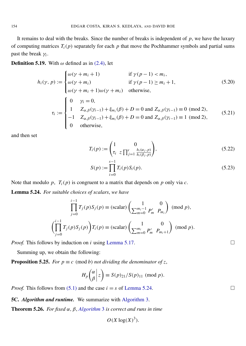It remains to deal with the breaks. Since the number of breaks is independent of  $p$ , we have the luxury of computing matrices  $T_i(p)$  separately for each  $p$  that move the Pochhammer symbols and partial sums past the break γ*<sup>i</sup>* .

<span id="page-12-3"></span>**Definition 5.19.** With  $\omega$  defined as in [\(2.4\),](#page-3-2) let

$$
h_i(\gamma, p) := \begin{cases} \omega(\gamma + m_i + 1) & \text{if } \gamma(p - 1) < m_i, \\ \omega(\gamma + m_i) & \text{if } \gamma(p - 1) \ge m_i + 1, \\ \omega(\gamma + m_i + 1)\omega(\gamma + m_i) & \text{otherwise,} \end{cases} \tag{5.20}
$$
\n
$$
\tau_i := \begin{cases} 0 & \gamma_i = 0, \\ 1 & Z_{\alpha, \beta}(\gamma_{i-1}) + \xi_{m_i}(\beta) + D = 0 \text{ and } Z_{\alpha, \beta}(\gamma_{i-1}) \equiv 0 \pmod{2}, \\ -1 & Z_{\alpha, \beta}(\gamma_{i-1}) + \xi_{m_i}(\beta) + D = 0 \text{ and } Z_{\alpha, \beta}(\gamma_{i-1}) \equiv 1 \pmod{2}, \\ 0 & \text{otherwise,} \end{cases} \tag{5.21}
$$

and then set

$$
T_i(p) := \begin{pmatrix} 1 & 0 \\ \tau_i & z \prod_{j=1}^r \frac{h_i(\alpha_j, p)}{h_i(\beta_j, p)} \end{pmatrix},\tag{5.22}
$$

<span id="page-12-1"></span>
$$
S(p) := \prod_{i=0}^{s-1} T_i(p) S_i(p).
$$
 (5.23)

Note that modulo *p*,  $T_i(p)$  is congruent to a matrix that depends on *p* only via *c*.

<span id="page-12-0"></span>Lemma 5.24. *For suitable choices of scalars*, *we have*

$$
\prod_{j=0}^{i-1} T_j(p) S_j(p) \equiv \text{(scalar)} \begin{pmatrix} 1 & 0 \\ \sum_{m=0}^{m_i-1} P'_m & P_{m_i} \end{pmatrix} \pmod{p},
$$

$$
\left( \prod_{j=0}^{i-1} T_j(p) S_j(p) \right) T_i(p) \equiv \text{(scalar)} \begin{pmatrix} 1 & 0 \\ \sum_{m=0}^{m_i} P'_m & P_{m_i+1} \end{pmatrix} \pmod{p}.
$$

*Proof.* This follows by induction on *i* using [Lemma 5.17.](#page-11-0) □

Summing up, we obtain the following:

<span id="page-12-2"></span>**Proposition 5.25.** *For*  $p \equiv c \pmod{b}$  *not dividing the denominator of z,* 

$$
H_p\binom{\alpha}{\beta} z \equiv S(p)_{21}/S(p)_{11} \pmod{p}.
$$

*Proof.* This follows from [\(5.1\)](#page-9-0) and the case  $i = s$  of [Lemma 5.24.](#page-12-0)

5C. *Algorithm and runtime.* We summarize with [Algorithm 3.](#page-13-0)

Theorem 5.26. *For fixed* α, β, *[Algorithm](#page-13-0)* 3 *is correct and runs in time*

$$
O(X \log(X)^3).
$$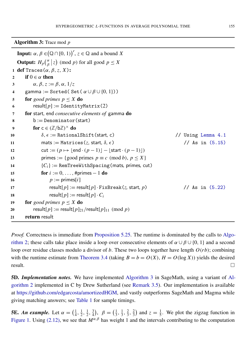Algorithm 3: Trace mod *p*

<span id="page-13-0"></span>**Input:**  $\alpha$ ,  $\beta \in (\mathbb{Q} \cap [0, 1))^r$ ,  $z \in \mathbb{Q}$  and a bound X **Output:**  $H_p$   $\binom{\alpha}{\beta}$  $\binom{\alpha}{\beta}$  (*mod p*) for all good  $p \leq X$ <sup>1</sup> def Traces(α, β,*z*, *X*): 2 if  $0 \in \alpha$  then 3  $\alpha, \beta, z := \beta, \alpha, 1/z$ 4 gamma := Sorted( Set(  $\alpha \cup \beta \cup \{0, 1\})$ ) 5 for *good primes*  $p \leq X$  do 6 result $[p] :=$ IdentityMatrix(2) 7 for start*,* end *consecutive elements of* gamma do  $8 \qquad b := \text{Denominator}(\text{start})$ 9 for  $c \in (\mathbb{Z}/b\mathbb{Z})^{\times}$  do 10  $\delta, \epsilon :=$  Rational Shift (start, c)  $\ell /$  Using [Lemma 4.1](#page-7-2) 11 mats := Matrices(*z*, start,  $\delta$ ,  $\epsilon$ ) // As in [\(5.15\)](#page-11-1) 12 cut :=  $(p \mapsto |\text{end} \cdot (p-1)| - |\text{start} \cdot (p-1)|)$ 13 primes := {good primes *p* = *c* (mod *b*),  $p \le X$ } 14  ${C_i} := \text{RemTreeWithSpacing(mats, primes, cut)}$ 15 **for**  $i := 0, \ldots, \text{#primes} - 1$  **do** 16  $p := \text{primes}[i]$ 17 result[ $p$ ] := result[ $p$ ] · FixBreak(*z*, start,  $p$ ) // As in [\(5.22\)](#page-12-1) 18 result $[p] := \text{result}[p] \cdot C_i$ 19 **for** good primes  $p \leq X$  **do** 20 result[ $p$ ] := result[ $p$ ]<sub>21</sub>/result[ $p$ ]<sub>11</sub> (mod  $p$ ) 21 return result

*Proof.* Correctness is immediate from [Proposition 5.25.](#page-12-2) The runtime is dominated by the calls to [Algo](#page-8-0)[rithm 2;](#page-8-0) these calls take place inside a loop over consecutive elements of  $\alpha \cup \beta \cup \{0, 1\}$  and a second loop over residue classes modulo a divisor of *b*. These two loops together have length *O*(*r b*); combining with the runtime estimate from [Theorem 3.4](#page-6-3) (taking  $B = b = O(X)$ ,  $H = O(\log X)$ ) yields the desired  $r$ esult.

5D. *Implementation notes.* We have implemented [Algorithm 3](#page-13-0) in SageMath, using a variant of [Al](#page-8-0)[gorithm 2](#page-8-0) implemented in C by Drew Sutherland (see [Remark 3.5\)](#page-7-3). Our implementation is available at [https://github.com/edgarcosta/amortizedHGM,](https://github.com/edgarcosta/amortizedHGM) and vastly outperforms SageMath and Magma while giving matching answers; see [Table 1](#page-14-0) for sample timings.

**5E.** An example. Let  $\alpha = \left(\frac{1}{4}\right)$  $\frac{1}{4}, \frac{1}{2}$  $\frac{1}{2}, \frac{1}{2}$  $\frac{1}{2}$ ,  $\frac{3}{4}$  $(\frac{3}{4}), \ \beta = (\frac{1}{3})$  $\frac{1}{3}, \frac{1}{3}$  $\frac{1}{3}, \frac{2}{3}$  $\frac{2}{3}, \frac{2}{3}$  $\frac{2}{3}$ ) and  $z = \frac{1}{5}$  $\frac{1}{5}$ . We plot the zigzag function in [Figure 1.](#page-14-1) Using [\(2.12\),](#page-3-3) we see that  $M^{\alpha,\beta}$  has weight 1 and the intervals contributing to the computation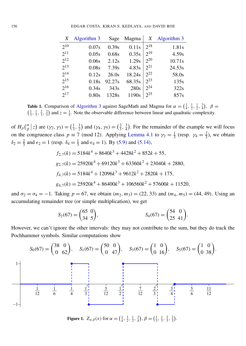<span id="page-14-0"></span>

| X        | Algorithm 3 | Sage             | Magma  | X        | Algorithm 3 |
|----------|-------------|------------------|--------|----------|-------------|
| $2^{10}$ | 0.07s       | 0.39s            | 0.11s  | $2^{18}$ | 1.81s       |
| $2^{11}$ | 0.05s       | 0.68s            | 0.35s  | $2^{19}$ | 4.59s       |
| $2^{12}$ | 0.06s       | 2.12s            | 1.29s  | $2^{20}$ | 10.71s      |
| $2^{13}$ | 0.08s       | 7.39s            | 4.83s  | $2^{21}$ | 24.53s      |
| $2^{14}$ | 0.12s       | 26.0s            | 18.24s | $2^{22}$ | 58.0s       |
| $2^{15}$ | 0.18s       | 92.27s           | 68.35s | $2^{23}$ | 135s        |
| $2^{16}$ | 0.34s       | 343 <sub>s</sub> | 280s   | $2^{24}$ | 322s        |
| $2^{17}$ | $0.80$ s    | 1328s            | 1190s  | $2^{25}$ | 857s        |

Table 1. Comparison of [Algorithm 3](#page-13-0) against SageMath and Magma for  $\alpha = (\frac{1}{4}, \frac{1}{2}, \frac{1}{2}, \frac{3}{4})$ ,  $\beta =$  $\left(\frac{1}{3}, \frac{1}{3}, \frac{2}{3}, \frac{2}{3}\right)$  and  $z = \frac{1}{5}$ . Note the observable difference between linear and quadratic complexity.

of  $H_p$ ( $\frac{\alpha}{\beta}$  $\begin{array}{c} \alpha \\ \beta \end{array}$  (z) are  $(\gamma_2, \gamma_3) = (\frac{1}{3})$  $\frac{1}{3}, \frac{1}{2}$  $(\frac{1}{2})$  and  $(\gamma_4, \gamma_5) = (\frac{2}{3})$  $\frac{2}{3}, \frac{3}{4}$  $\frac{3}{4}$ ). For the remainder of the example we will focus on the congruence class  $p \equiv 7 \pmod{12}$ . Applying [Lemma 4.1](#page-7-2) to  $\gamma_2 = \frac{1}{3}$  $\frac{1}{3}$  (resp.  $\gamma_4 = \frac{2}{3}$  $\frac{2}{3}$ ), we obtain  $\delta_2 = \frac{2}{3}$  $\frac{2}{3}$  and  $\epsilon_2 = 1$  (resp.  $\delta_4 = \frac{1}{3}$  $\frac{1}{3}$  and  $\epsilon_4 = 1$ ). By [\(5.9\)](#page-10-2) and [\(5.14\),](#page-11-2)

$$
f_{2,7}(k) = 5184k^4 + 8640k^3 + 4428k^2 + 852k + 55,
$$
  
\n
$$
g_{2,7}(k) = 25920k^4 + 69120k^3 + 63360k^2 + 23040k + 2880,
$$
  
\n
$$
f_{4,7}(k) = 5184k^4 + 12096k^3 + 9612k^2 + 2820k + 175,
$$
  
\n
$$
g_{4,7}(k) = 25920k^4 + 86400k^3 + 106560k^2 + 57600k + 11520,
$$

and  $\sigma_2 = \sigma_4 = -1$ . Taking  $p = 67$ , we obtain  $(m_2, m_3) = (22, 33)$  and  $(m_4, m_5) = (44, 49)$ . Using an accumulating remainder tree (or simple multiplication), we get

$$
S_2(67) = \begin{pmatrix} 65 & 0 \\ 34 & 5 \end{pmatrix}, \qquad S_4(67) = \begin{pmatrix} 54 & 0 \\ 25 & 41 \end{pmatrix}.
$$

However, we can't ignore the other intervals: they may not contribute to the sum, but they do track the Pochhammer symbols. Similar computations show

<span id="page-14-1"></span>

Figure 1.  $Z_{\alpha,\beta}(x)$  for  $\alpha = \left(\frac{1}{4}, \frac{1}{2}, \frac{1}{2}, \frac{3}{4}\right), \beta = \left(\frac{1}{3}, \frac{1}{3}, \frac{2}{3}, \frac{2}{3}\right).$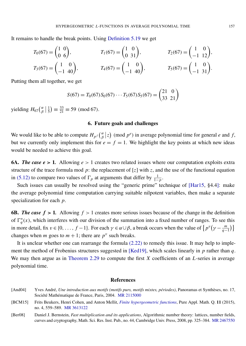It remains to handle the break points. Using [Definition 5.19](#page-12-3) we get

$$
T_0(67) = \begin{pmatrix} 1 & 0 \\ 0 & 6 \end{pmatrix}, \t T_1(67) = \begin{pmatrix} 1 & 0 \\ 0 & 31 \end{pmatrix}, \t T_2(67) = \begin{pmatrix} 1 & 0 \\ -1 & 12 \end{pmatrix},
$$
  
\n
$$
T_3(67) = \begin{pmatrix} 1 & 0 \\ -1 & 40 \end{pmatrix}, \t T_4(67) = \begin{pmatrix} 1 & 0 \\ -1 & 40 \end{pmatrix}, \t T_5(67) = \begin{pmatrix} 1 & 0 \\ -1 & 31 \end{pmatrix}.
$$

Putting them all together, we get

$$
S(67) = T_0(67)S_0(67)\cdots T_5(67)S_5(67) = \begin{pmatrix} 21 & 0\\ 33 & 21 \end{pmatrix}
$$

yielding  $H_{67}(\frac{\alpha}{\beta})$  $\frac{\alpha}{\beta}$  |  $\frac{1}{5}$  $(\frac{1}{5}) \equiv \frac{33}{21} \equiv 59 \pmod{67}$ .

#### 6. Future goals and challenges

We would like to be able to compute  $H_{p^f}(\frac{\alpha}{\beta})$  $\binom{\alpha}{\beta}$  (*mod p<sup>e</sup>*) in average polynomial time for general *e* and *f*, but we currently only implement this for  $e = f = 1$ . We highlight the key points at which new ideas would be needed to achieve this goal.

**6A.** *The case e* > 1. Allowing  $e > 1$  creates two related issues where our computation exploits extra structure of the trace formula mod  $p$ : the replacement of  $[z]$  with  $z$ , and the use of the functional equation in [\(5.12\)](#page-11-3) to compare two values of  $\Gamma_p$  at arguments that differ by  $\frac{1}{1-p}$ .

Such issues can usually be resolved using the "generic prime" technique of [\[Har15,](#page-16-12) §4.4]: make the average polynomial time computation carrying suitable nilpotent variables, then make a separate specialization for each *p*.

6B. *The case f* > 1. Allowing  $f > 1$  creates more serious issues because of the change in the definition of  $\Gamma_q^*(x)$ , which interferes with our division of the summation into a fixed number of ranges. To see this in more detail, fix  $v \in \{0, ..., f-1\}$ . For each  $\gamma \in \alpha \cup \beta$ , a break occurs when the value of  $\{p^v(\gamma - \frac{m}{q-1})\}$ changes when *m* goes to  $m + 1$ ; there are  $p^v$  such breaks.

It is unclear whether one can rearrange the formula [\(2.22\)](#page-5-0) to remedy this issue. It may help to implement the method of Frobenius structures suggested in [\[Ked19\]](#page-16-9), which scales linearly in *p* rather than *q*. We may then argue as in [Theorem 2.29](#page-6-0) to compute the first *X* coefficients of an *L*-series in average polynomial time.

#### **References**

- <span id="page-15-1"></span>[And04] Yves André, *Une introduction aux motifs (motifs purs, motifs mixtes, périodes)*, Panoramas et Synthèses, no. 17, Société Mathématique de France, Paris, 2004. [MR 2115000](http://msp.org/idx/mr/2115000)
- <span id="page-15-0"></span>[BCM15] Frits Beukers, Henri Cohen, and Anton Mellit, *[Finite hypergeometric functions](https://doi.org/10.4310/PAMQ.2015.v11.n4.a2)*, Pure Appl. Math. Q. 11 (2015), no. 4, 559–589. [MR 3613122](http://msp.org/idx/mr/3613122)
- <span id="page-15-2"></span>[Ber08] Daniel J. Bernstein, *Fast multiplication and its applications*, Algorithmic number theory: lattices, number fields, curves and cryptography, Math. Sci. Res. Inst. Pub., no. 44, Cambridge Univ. Press, 2008, pp. 325–384. [MR 2467550](http://msp.org/idx/mr/2467550)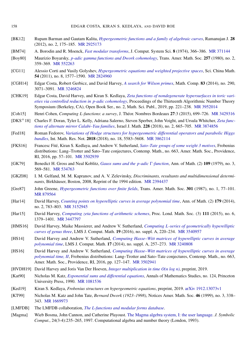- <span id="page-16-21"></span>[BK12] Rupam Barman and Gautam Kalita, *[Hypergeometric functions and a family of algebraic curves](https://doi.org/10.1007/s11139-011-9345-7)*, Ramanujan J. 28 (2012), no. 2, 175–185. [MR 2925173](http://msp.org/idx/mr/2925173)
- <span id="page-16-22"></span>[BM74] A. Borodin and R. Moenck, *[Fast modular transforms](https://doi.org/10.1016/S0022-0000(74)80029-2)*, J. Comput. System Sci. 8 (1974), 366–386. [MR 371144](http://msp.org/idx/mr/371144)
- <span id="page-16-17"></span>[Boy80] Maurizio Boyarsky, *[p-adic gamma functions and Dwork cohomology](https://doi.org/10.2307/1998301)*, Trans. Amer. Math. Soc. 257 (1980), no. 2, 359–369. [MR 552263](http://msp.org/idx/mr/552263)
- <span id="page-16-20"></span>[CG11] Alessio Corti and Vasily Golyshev, *[Hypergeometric equations and weighted projective spaces](https://doi.org/10.1007/s11425-011-4218-5)*, Sci. China Math. 54 (2011), no. 8, 1577–1590. [MR 2824960](http://msp.org/idx/mr/2824960)
- <span id="page-16-10"></span>[CGH14] Edgar Costa, Robert Gerbicz, and David Harvey, *[A search for Wilson primes](https://doi.org/10.1090/S0025-5718-2014-02800-7)*, Math. Comp. 83 (2014), no. 290, 3071–3091. [MR 3246824](http://msp.org/idx/mr/3246824)
- <span id="page-16-0"></span>[CHK19] Edgar Costa, David Harvey, and Kiran S. Kedlaya, *[Zeta functions of nondegenerate hypersurfaces in toric vari](https://msp.org/obs/2019/2-1/obs-v2-n1-p14-s.pdf)[eties via controlled reduction in](https://msp.org/obs/2019/2-1/obs-v2-n1-p14-s.pdf) p-adic cohomology*, Proceedings of the Thirteenth Algorithmic Number Theory Symposium (Berkeley, CA), Open Book Ser., no. 2, Math. Sci. Publ., 2019, pp. 221–238. [MR 3952014](http://msp.org/idx/mr/3952014)
- <span id="page-16-5"></span>[Coh15] Henri Cohen, *Computing L-functions*: *a survey*, J. Théor. Nombres Bordeaux 27:3 (2015), 699–726. [MR 3429316](http://msp.org/idx/mr/3429316)
- <span id="page-16-1"></span>[DKS+18] Charles F. Doran, Tyler L. Kelly, Adriana Salerno, Steven Sperber, John Voight, and Ursula Whitcher, *[Zeta func](https://doi.org/10.1007/s11856-018-1783-0)[tions of alternate mirror Calabi–Yau families](https://doi.org/10.1007/s11856-018-1783-0)*, Israel J. Math. 228 (2018), no. 2, 665–705. [MR 3874856](http://msp.org/idx/mr/3874856)
- <span id="page-16-19"></span>[Fed18] Roman Fedorov, *[Variations of Hodge structures for hypergeometric differential operators and parabolic Higgs](https://doi.org/10.1093/imrn/rnx044) [bundles](https://doi.org/10.1093/imrn/rnx044)*, Int. Math. Res. Not. 2018 (2018), no. 18, 5583–5608. [MR 3862114](http://msp.org/idx/mr/3862114)
- <span id="page-16-6"></span>[FKS16] Francesc Fité, Kiran S. Kedlaya, and Andrew V. Sutherland, *[Sato–Tate groups of some weight 3 motives](https://doi.org/10.1090/conm/663/13350)*, Frobenius distributions: Lang–Trotter and Sato–Tate conjectures, Contemp. Math., no. 663, Amer. Math. Soc., Providence, RI, 2016, pp. 57–101. [MR 3502939](http://msp.org/idx/mr/3502939)
- <span id="page-16-4"></span>[GK79] Benedict H. Gross and Neal Koblitz, *[Gauss sums and the](https://doi.org/10.2307/1971226) p-adic*  $\Gamma$ *-function*, Ann. of Math. (2) 109 (1979), no. 3, 569–581. [MR 534763](http://msp.org/idx/mr/534763)
- <span id="page-16-16"></span>[GKZ08] I. M. Gelfand, M. M. Kapranov, and A. V. Zelevinsky, *Discriminants, resultants and multidimensional determinants*, Birkhäuser, Boston, 2008, Reprint of the 1994 edition. [MR 2394437](http://msp.org/idx/mr/2394437)
- <span id="page-16-2"></span>[Gre87] John Greene, *[Hypergeometric functions over finite fields](https://doi.org/10.2307/2000329)*, Trans. Amer. Math. Soc. 301 (1987), no. 1, 77–101. [MR 879564](http://msp.org/idx/mr/879564)
- <span id="page-16-11"></span>[Har14] David Harvey, *[Counting points on hyperelliptic curves in average polynomial time](https://doi.org/10.4007/annals.2014.179.2.7)*, Ann. of Math. (2) 179 (2014), no. 2, 783–803. [MR 3152945](http://msp.org/idx/mr/3152945)
- <span id="page-16-12"></span>[Har15] David Harvey, *[Computing zeta functions of arithmetic schemes](https://doi.org/10.1112/plms/pdv056)*, Proc. Lond. Math. Soc. (3) 111 (2015), no. 6, 1379–1401. [MR 3447797](http://msp.org/idx/mr/3447797)
- <span id="page-16-15"></span>[HMS16] David Harvey, Maike Massierer, and Andrew V. Sutherland, *Computing [L-series of geometrically hyperelliptic](https://doi.org/10.1112/S1461157016000383) [curves of genus three](https://doi.org/10.1112/S1461157016000383)*, LMS J. Comput. Math. 19 (2016), no. suppl. A, 220–234. [MR 3540957](http://msp.org/idx/mr/3540957)
- <span id="page-16-13"></span>[HS14] David Harvey and Andrew V. Sutherland, *[Computing Hasse–Witt matrices of hyperelliptic curves in average](https://doi.org/10.1112/S1461157014000187) [polynomial time](https://doi.org/10.1112/S1461157014000187)*, LMS J. Comput. Math. 17 (2014), no. suppl. A, 257–273. [MR 3240808](http://msp.org/idx/mr/3240808)
- <span id="page-16-14"></span>[HS16] David Harvey and Andrew V. Sutherland, *[Computing Hasse–Witt matrices of hyperelliptic curves in average](https://doi.org/10.1090/conm/663/13352) [polynomial time, II](https://doi.org/10.1090/conm/663/13352)*, Frobenius distributions: Lang–Trotter and Sato–Tate conjectures, Contemp. Math., no. 663, Amer. Math. Soc., Providence, RI, 2016, pp. 127–147. [MR 3502941](http://msp.org/idx/mr/3502941)
- <span id="page-16-23"></span>[HVDH19] David Harvey and Joris Van Der Hoeven, *[Integer multiplication in time O\(n log n\)](https://hal.archives-ouvertes.fr/hal-02070778)*, preprint, 2019.
- <span id="page-16-3"></span>[Kat90] Nicholas M. Katz, *[Exponential sums and differential equations](https://doi.org/10.1515/9781400882434)*, Annals of Mathematics Studies, no. 124, Princeton University Press, 1990. [MR 1081536](http://msp.org/idx/mr/1081536)
- <span id="page-16-9"></span>[Ked19] Kiran S. Kedlaya, *Frobenius structures on hypergeometric equations*, preprint, 2019. [arXiv 1912.13073v1](http://arxiv.org/abs/1912.13073v1)
- <span id="page-16-18"></span>[KT99] Nicholas M. Katz and John Tate, *Bernard Dwork (1923–1998)*, Notices Amer. Math. Soc. 46 (1999), no. 3, 338– 343. [MR 1669973](http://msp.org/idx/mr/1669973)
- <span id="page-16-8"></span>[LMFDB] The LMFDB collaboration, *[The L-functions and modular forms database](http://www.lmfdb.org/)*.
- <span id="page-16-7"></span>[Magma] Wieb Bosma, John Cannon, and Catherine Playoust. [The Magma algebra system, I: the user language.](https://dl.acm.org/doi/10.1006/jsco.1996.0125) *J. Symbolic Comput.*, 24(3-4):235–265, 1997. Computational algebra and number theory (London, 1993).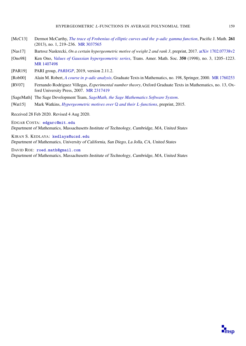- <span id="page-17-0"></span>[McC13] Dermot McCarthy, *[The trace of Frobenius of elliptic curves and the](https://doi.org/10.2140/pjm.2013.261.219) p-adic gamma function*, Pacific J. Math. 261 (2013), no. 1, 219–236. [MR 3037565](http://msp.org/idx/mr/3037565)
- <span id="page-17-7"></span>[Nas17] Bartosz Naskrecki, *On a certain hypergeometric motive of weight 2 and rank 3*, preprint, 2017. [arXiv 1702.07738v2](http://arxiv.org/abs/1702.07738v2)
- <span id="page-17-6"></span>[Ono98] Ken Ono, *[Values of Gaussian hypergeometric series](https://doi.org/10.1090/S0002-9947-98-01887-X)*, Trans. Amer. Math. Soc. 350 (1998), no. 3, 1205–1223. [MR 1407498](http://msp.org/idx/mr/1407498)
- <span id="page-17-2"></span>[PAR19] PARI group, *[PARI/GP](http://pari.math.u-bordeaux.fr)*, 2019, version 2.11.2.
- <span id="page-17-4"></span>[Rob00] Alain M. Robert, *A course in [p-adic analysis](https://doi.org/10.1007/978-1-4757-3254-2)*, Graduate Texts in Mathematics, no. 198, Springer, 2000. [MR 1760253](http://msp.org/idx/mr/1760253)
- <span id="page-17-5"></span>[RV07] Fernando Rodriguez Villegas, *Experimental number theory*, Oxford Graduate Texts in Mathematics, no. 13, Oxford University Press, 2007. [MR 2317419](http://msp.org/idx/mr/2317419)
- <span id="page-17-3"></span>[SageMath] The Sage Development Team, *[SageMath, the Sage Mathematics Software System](http://www.sagemath.org)*.
- <span id="page-17-1"></span>[Wat15] Mark Watkins, *[Hypergeometric motives over](http://magma.maths.usyd.edu.au/~watkins/papers/)* Q *and their L-functions*, preprint, 2015.
- Received 28 Feb 2020. Revised 4 Aug 2020.

EDGAR COSTA: [edgarc@mit.edu](mailto:edgarc@mit.edu) Department of Mathematics, Massachusetts Institute of Technology, Cambridge, MA, United States

KIRAN S. KEDLAYA: [kedlaya@ucsd.edu](mailto:kedlaya@ucsd.edu) Department of Mathematics, University of California, San Diego, La Jolla, CA, United States

DAVID ROE: [roed.math@gmail.com](mailto:roed.math@gmail.com) Department of Mathematics, Massachusetts Institute of Technology, Cambridge, MA, United States

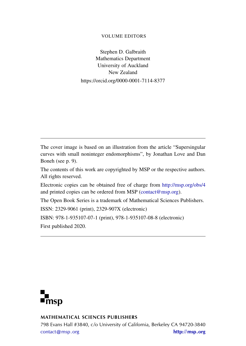#### VOLUME EDITORS

Stephen D. Galbraith Mathematics Department University of Auckland New Zealand https://orcid.org/0000-0001-7114-8377

The cover image is based on an illustration from the article "Supersingular curves with small noninteger endomorphisms", by Jonathan Love and Dan Boneh (see p. 9).

The contents of this work are copyrighted by MSP or the respective authors. All rights reserved.

Electronic copies can be obtained free of charge from <http://msp.org/obs/4> and printed copies can be ordered from MSP [\(contact@msp.org\)](mailto:contact@msp.org).

The Open Book Series is a trademark of Mathematical Sciences Publishers.

ISSN: 2329-9061 (print), 2329-907X (electronic)

ISBN: 978-1-935107-07-1 (print), 978-1-935107-08-8 (electronic)

First published 2020.



### MATHEMATICAL SCIENCES PUBLISHERS

798 Evans Hall #3840, c/o University of California, Berkeley CA 94720-3840 [contact@msp.org](mailto:contact@msp.org) <http://msp.org>